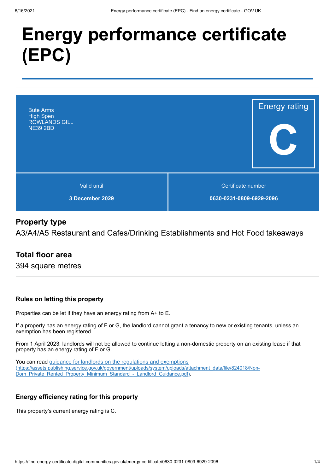# **Energy performance certificate (EPC)**



# **Property type**

A3/A4/A5 Restaurant and Cafes/Drinking Establishments and Hot Food takeaways

# **Total floor area**

394 square metres

#### **Rules on letting this property**

Properties can be let if they have an energy rating from A+ to E.

If a property has an energy rating of F or G, the landlord cannot grant a tenancy to new or existing tenants, unless an exemption has been registered.

From 1 April 2023, landlords will not be allowed to continue letting a non-domestic property on an existing lease if that property has an energy rating of F or G.

You can read guidance for landlords on the regulations and exemptions [\(https://assets.publishing.service.gov.uk/government/uploads/system/uploads/attachment\\_data/file/824018/Non-](https://assets.publishing.service.gov.uk/government/uploads/system/uploads/attachment_data/file/824018/Non-Dom_Private_Rented_Property_Minimum_Standard_-_Landlord_Guidance.pdf)Dom\_Private\_Rented\_Property\_Minimum\_Standard\_-\_Landlord\_Guidance.pdf).

#### **Energy efficiency rating for this property**

This property's current energy rating is C.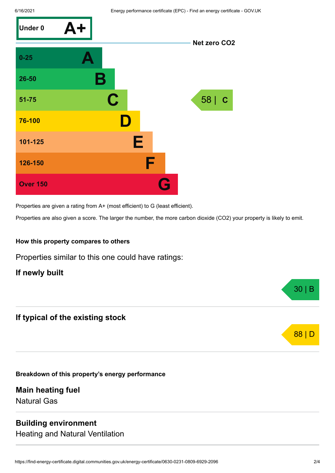

Properties are given a rating from A+ (most efficient) to G (least efficient).

Properties are also given a score. The larger the number, the more carbon dioxide (CO2) your property is likely to emit.

#### **How this property compares to others**

Properties similar to this one could have ratings:

**If newly built**

# **If typical of the existing stock**

**Breakdown of this property's energy performance**

**Main heating fuel** Natural Gas

## **Building environment**

Heating and Natural Ventilation



30 | B

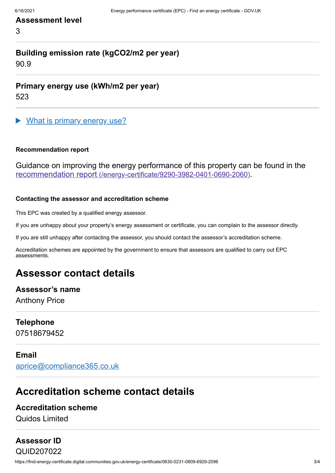## **Assessment level**

3

# **Building emission rate (kgCO2/m2 per year)**

90.9

**Primary energy use (kWh/m2 per year)**

523

What is primary energy use?

#### **Recommendation report**

Guidance on improving the energy performance of this property can be found in the recommendation report [\(/energy-certificate/9290-3982-0401-0690-2060\)](https://find-energy-certificate.digital.communities.gov.uk/energy-certificate/9290-3982-0401-0690-2060).

#### **Contacting the assessor and accreditation scheme**

This EPC was created by a qualified energy assessor.

If you are unhappy about your property's energy assessment or certificate, you can complain to the assessor directly.

If you are still unhappy after contacting the assessor, you should contact the assessor's accreditation scheme.

Accreditation schemes are appointed by the government to ensure that assessors are qualified to carry out EPC assessments.

# **Assessor contact details**

**Assessor's name** Anthony Price

#### **Telephone**

07518679452

#### **Email**

[aprice@compliance365.co.uk](mailto:aprice@compliance365.co.uk)

# **Accreditation scheme contact details**

#### **Accreditation scheme**

Quidos Limited

# **Assessor ID**

https://find-energy-certificate.digital.communities.gov.uk/energy-certificate/0630-0231-0809-6929-2096 3/4 QUID207022